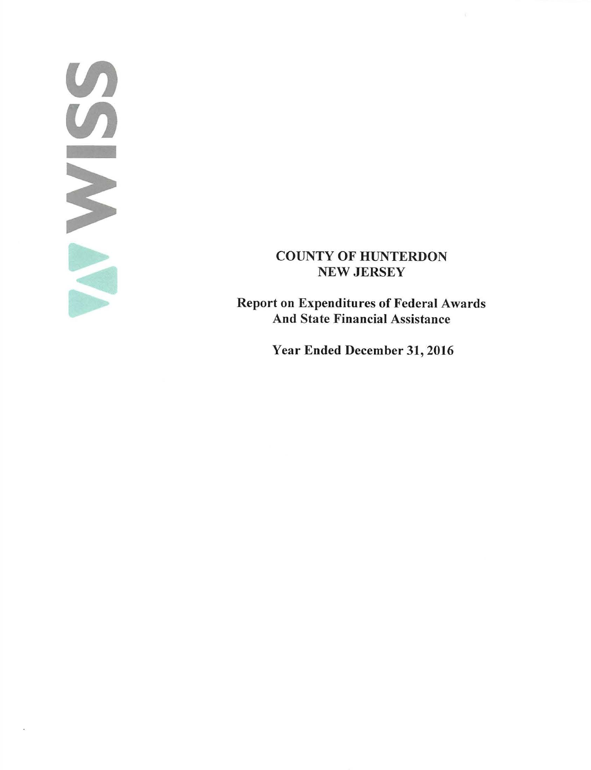# $\mathcal{L}$  $\overline{U}$ -

# COUNTY OF HUNTERDON NEW JERSEY

Report on Expenditures of Federal Awards And State Financial Assistance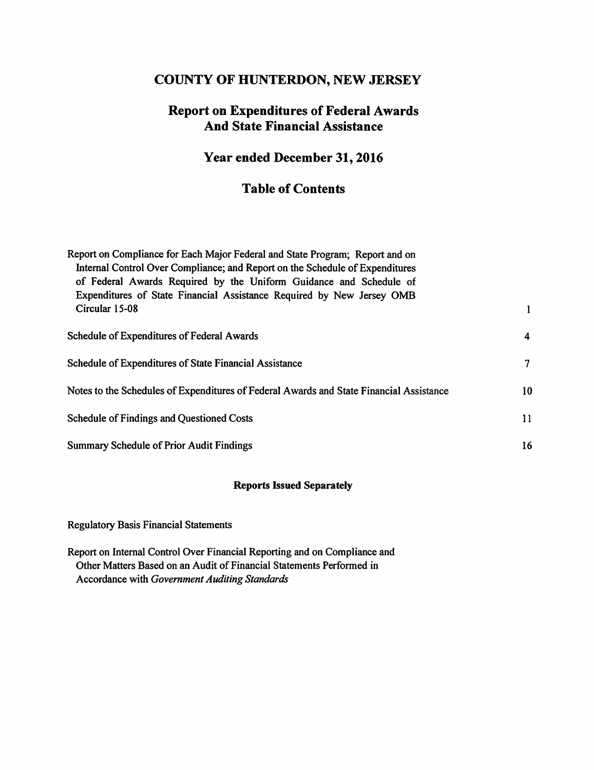## **COUNTY OF HUNTERDON, NEW JERSEY**

# **Report on Expenditures of Federal Awards And State Financial Assistance**

# **Year ended December 31, 2016**

# **Table of Contents**

| Report on Compliance for Each Major Federal and State Program; Report and on<br>Internal Control Over Compliance; and Report on the Schedule of Expenditures<br>of Federal Awards Required by the Uniform Guidance and Schedule of |                |
|------------------------------------------------------------------------------------------------------------------------------------------------------------------------------------------------------------------------------------|----------------|
| Expenditures of State Financial Assistance Required by New Jersey OMB<br>Circular 15-08                                                                                                                                            |                |
| Schedule of Expenditures of Federal Awards                                                                                                                                                                                         | $\overline{4}$ |
| Schedule of Expenditures of State Financial Assistance                                                                                                                                                                             | 7              |
| Notes to the Schedules of Expenditures of Federal Awards and State Financial Assistance                                                                                                                                            | 10             |
| Schedule of Findings and Questioned Costs                                                                                                                                                                                          | 11             |
| <b>Summary Schedule of Prior Audit Findings</b>                                                                                                                                                                                    | 16             |

### **Reports Issued Separately**

Regulatory Basis Financial Statements

Report on Internal Control Over Financial Reporting and on Compliance and Other Matters Based on an Audit of Financial Statements Performed in Accordance with *Government Auditing Standards*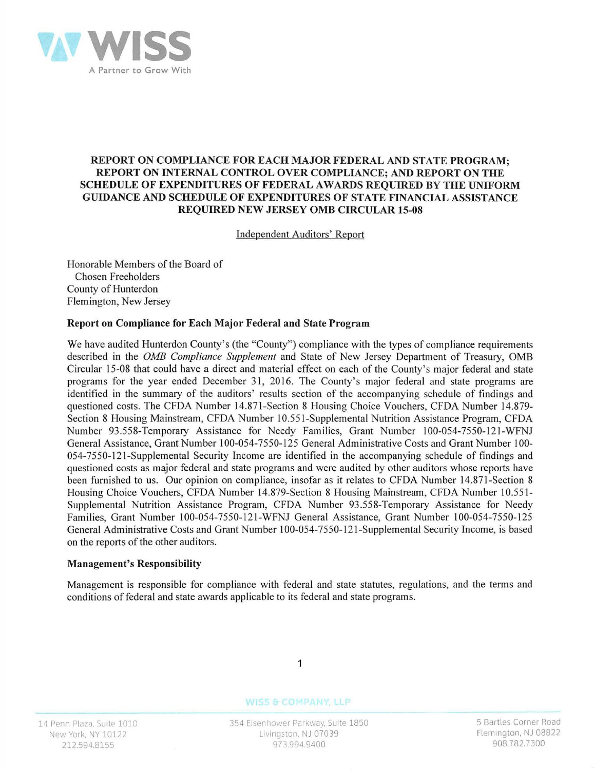

#### REPORT ON COMPLIANCE FOR EACH MAJOR FEDERAL AND STATE PROGRAM; **REPORT ON INTERNAL CONTROL OVER COMPLIANCE; AND REPORT ON THE**  SCHEDULE OF EXPENDITURES OF FEDERAL AWARDS REQUIRED BY THE UNIFORM **GUIDANCE AND SCHEDULE OF EXPENDITURES OF STATE FINANCIAL ASSISTANCE REQUIRED NEW JERSEY 0MB CIRCULAR 15-08**

Independent Auditors' Report

Honorable Members of the Board of Chosen Freeholders County of Hunterdon Flemington, New Jersey

#### **Report on Compliance for Each Major Federal and State Program**

We have audited Hunterdon County's (the "County") compliance with the types of compliance requirements described in the *0MB Compliance Supplement* and State of New Jersey Department of Treasury, 0MB Circular 15-08 that could have a direct and material effect on each of the County's major federal and state programs for the year ended December 31, 2016. The County's major federal and state programs are identified in the summary of the auditors' results section of the accompanying schedule of findings and questioned costs. The CFDA Number 14.87 1-Section 8 Housing Choice Vouchers, CFDA Number 14.879- Section 8 Housing Mainstream, CFDA Number 10.551-Supplemental Nutrition Assistance Program, CFDA Number 93.558-Temporary Assistance for Needy Families, Grant Number 100-054-7550-12 l-WFNJ General Assistance, Grant Number 100-054-7550-125 General Administrative Costs and Grant Number 100-054-7550-121-Supplemental Security Income are identified in the accompanying schedule of findings and questioned costs as major federal and state programs and were audited by other auditors whose reports have been furnished to us. Our opinion on compliance, insofar as it relates to CFDA Number 14.871-Section 8 Housing Choice Vouchers, CFDA Number 14.879-Section 8 Housing Mainstream, CFDA Number 10.55 1- Supplemental Nutrition Assistance Program, CFDA Number 93.558-Temporary Assistance for Needy Families, Grant Number 100-054-7550-121-WFNJ General Assistance, Grant Number 100-054-7550-125 General Administrative Costs and Grant Number 100-054-7550-121-Supplemental Security Income, is based on the reports of the other auditors.

#### **Management's Responsibility**

Management is responsible for compliance with federal and state statutes, regulations, and the terms and conditions of federal and state awards applicable to its federal and state programs.



#### WISS & COMPANY, LLP

354 Eisenhower Parkway, Suite 1850 Livingston. NJ 07039 973.994.9400

5 Bartles Corner Road Flemington. NJ 08822 908.782.7300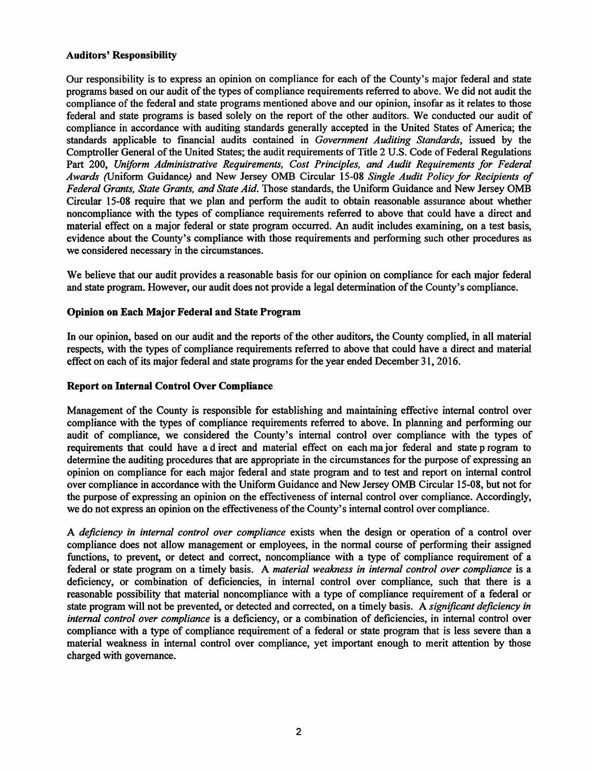#### **Auditors' Responsibility**

Our responsibility is to express an opinion on compliance for each of the County's major federal and state programs based on our audit of the types of compliance requirements referred to above. We did not audit the compliance of the federal and state programs mentioned above and our opinion, insofar as it relates to those federal and state programs is based solely on the report of the other auditors. We conducted our audit of compliance in accordance with auditing standards generally accepted in the United States of America; the standards applicable to financial audits contained in *Government Auditing Standards,* issued by the Comptroller General of the United States; the audit requirements of Title 2 U.S. Code of Federal Regulations Part 200, *Uniform Administrative Requirements, Cost Principles, and Audit Requirements for Federal Awards* (Uniform Guidance) and New Jersey 0MB Circular 15-08 *Single Audit Policy for Recipients of Federal Grants, State Grants, and State Aid.* Those standards, the Uniform Guidance and New Jersey 0MB Circular 15-08 require that we plan and perform the audit to obtain reasonable assurance about whether noncompliance with the types of compliance requirements referred to above that could have a direct and material effect on a major federal or state program occurred. An audit includes examining, on a test basis, evidence about the County's compliance with those requirements and performing such other procedures as we considered necessary in the circumstances.

We believe that our audit provides a reasonable basis for our opinion on compliance for each major federal and state program. However, our audit does not provide a legal determination of the County's compliance.

#### **Opinion on Each Major Federal and State Program**

In our opinion, based on our audit and the reports of the other auditors, the County complied, in all material respects, with the types of compliance requirements referred to above that could have a direct and material effect on each of its major federal and state programs for the year ended December 31, 2016.

#### **Report on Internal Control Over Compliance**

Management of the County is responsible for establishing and maintaining effective internal control over compliance with the types of compliance requirements referred to above. In planning and performing our audit of compliance, we considered the County's internal control over compliance with the types of requirements that could have a d irect and material effect on each major federal and state p rogram to determine the auditing procedures that are appropriate in the circumstances for the purpose of expressing an opinion on compliance for each major federal and state program and to test and report on internal control over compliance in accordance with the Uniform Guidance and New Jersey 0MB Circular 15-08, but not for the purpose of expressing an opinion on the effectiveness of internal control over compliance. Accordingly, we do not express an opinion on the effectiveness of the County's internal control over compliance.

A *deficiency in internal control over compliance* exists when the design or operation of a control over compliance does not allow management or employees, in the normal course of performing their assigned functions, to prevent, or detect and correct, noncompliance with a type of compliance requirement of a federal or state program on a timely basis. A *material weakness in internal control over compliance* is a deficiency, or combination of deficiencies, in internal control over compliance, such that there is a reasonable possibility that material noncompliance with a type of compliance requirement of a federal or state program will not be prevented, or detected and corrected, on a timely basis. A *significant deficiency in internal control over compliance* is a deficiency, or a combination of deficiencies, in internal control over compliance with a type of compliance requirement of a federal or state program that is less severe than a material weakness in internal control over compliance, yet important enough to merit attention by those charged with governance.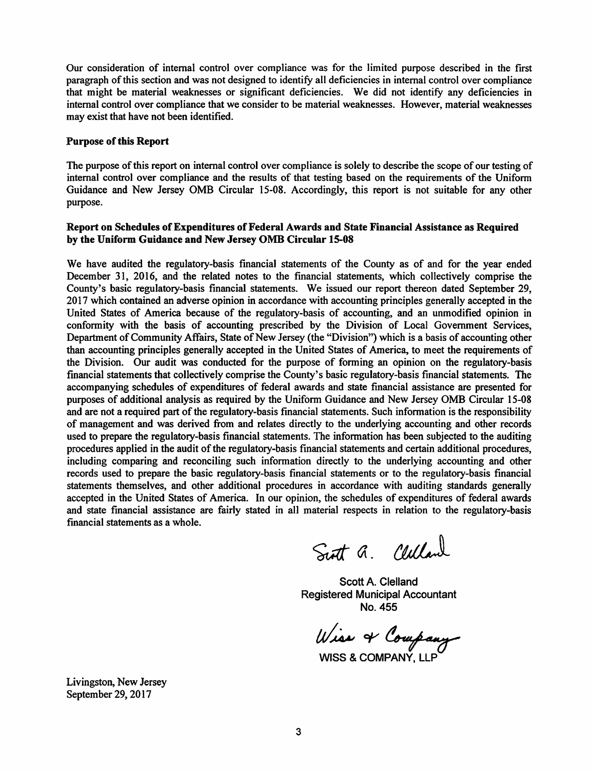Our consideration of internal control over compliance was for the limited purpose described in the first paragraph of this section and was not designed to identify all deficiencies in internal control over compliance that might be material weaknesses or significant deficiencies. We did not identify any deficiencies in internal control over compliance that we consider to be material weaknesses. However, material weaknesses may exist that have not been identified.

#### **Purpose of this Report**

The purpose of this report on internal control over compliance is solely to describe the scope of our testing of internal control over compliance and the results of that testing based on the requirements of the Uniform Guidance and New Jersey 0MB Circular 15-08. Accordingly, this report is not suitable for any other purpose.

#### **Report on Schedules of Expenditures of Federal Awards and State Financial Assistance as Required by the Uniform Guidance and New Jersey 0MB Circular 15-08**

We have audited the regulatory-basis financial statements of the County as of and for the year ended December 31, 2016, and the related notes to the financial statements, which collectively comprise the County's basic regulatory-basis financial statements. We issued our report thereon dated September 29, 2017 which contained an adverse opinion in accordance with accounting principles generally accepted in the United States of America because of the regulatory-basis of accounting, and an unmodified opinion in conformity with the basis of accounting prescribed by the Division of Local Government Services, Department of Community Affairs, State of New Jersey (the "Division") which is a basis of accounting other than accounting principles generally accepted in the United States of America, to meet the requirements of the Division. Our audit was conducted for the purpose of forming an opinion on the regulatory-basis financial statements that collectively comprise the County's basic regulatory-basis financial statements. The accompanying schedules of expenditures of federal awards and state financial assistance are presented for purposes of additional analysis as required by the Uniform Guidance and New Jersey 0MB Circular 15-08 and are not a required part of the regulatory-basis financial statements. Such information is the responsibility of management and was derived from and relates directly to the underlying accounting and other records used to prepare the regulatory-basis financial statements. The information has been subjected to the auditing procedures applied in the audit of the regulatory-basis financial statements and certain additional procedures, including comparing and reconciling such information directly to the underlying accounting and other records used to prepare the basic regulatory-basis financial statements or to the regulatory-basis financial statements themselves, and other additional procedures in accordance with auditing standards generally accepted in the United States of America. In our opinion, the schedules of expenditures of federal awards and state financial assistance are fairly stated in all material respects in relation to the regulatory-basis financial statements as a whole.

Sutt a. Celland

Scott A. Clelland Registered Municipal Accountant No.455

Wise & Company

WISS & **COMPANY,** LLP

Livingston, New Jersey September 29, 2017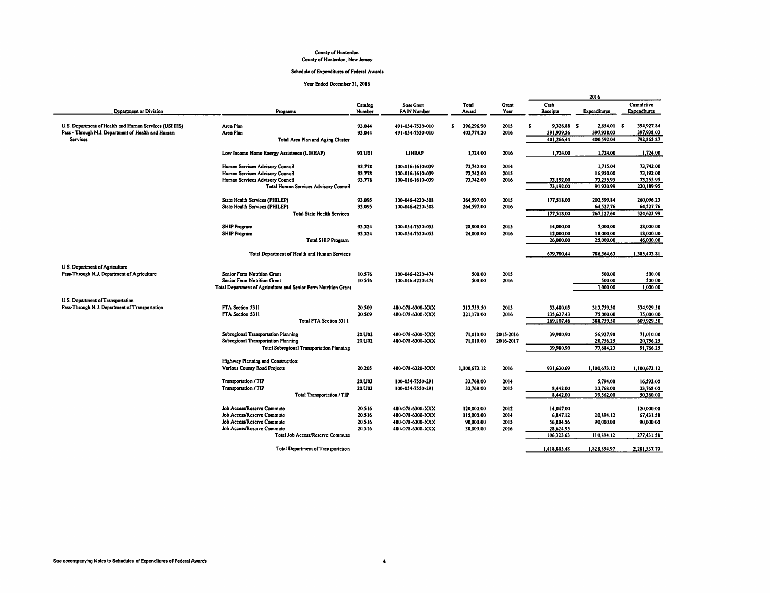# County of Hunterdon<br>County of Hunterdon, New Jersey

#### Schedule of Expenditures of Federal Awards

Year Ended December 31, 2016

|                                                      |                                                                 |         |                    |                   |              |                            | 2016                |              |
|------------------------------------------------------|-----------------------------------------------------------------|---------|--------------------|-------------------|--------------|----------------------------|---------------------|--------------|
|                                                      |                                                                 | Catalog | <b>State Grant</b> | Total             | <b>Grant</b> | Cash                       |                     | Cumulative   |
| Department or Division                               | Programs                                                        | Number  | <b>FAIN Number</b> | Award             | Year         | Receipts                   | <b>Expenditures</b> | Expenditures |
|                                                      |                                                                 |         |                    |                   |              |                            |                     |              |
| U.S. Department of Health and Human Services (USHHS) | Area Plan                                                       | 93.044  | 491-054-7530-010   | \$.<br>396,296.90 | 2015         | $\mathbf{s}$<br>9.326.88 S | 2,654.01 S          | 394,927.84   |
| Pass - Through N.J. Department of Health and Human   | Arca Plan                                                       | 93.044  | 491-054-7530-010   | 403,774.20        | 2016         | 391 939.56                 | 397,938.03          | 397,938.03   |
| <b>Services</b>                                      | Total Area Plan and Aging Cluster                               |         |                    |                   |              | 401,266,44                 | 400,592.04          | 792,865.87   |
|                                                      |                                                                 |         |                    |                   |              |                            |                     | 1,724.00     |
|                                                      | Low Income Home Energy Assistance (LIHEAP)                      | 93.UOI  | <b>LIHEAP</b>      | 1,724.00          | 2016         | 1,724.00                   | 1,724.00            |              |
|                                                      | Human Services Advisory Council                                 | 93.778  | 100-016-1610-039   | 73,742.00         | 2014         |                            | 1,715.04            | 73,742.00    |
|                                                      | Human Services Advisory Council                                 | 93.778  | 100-016-1610-039   | 73,742.00         | 2015         |                            | 16,950.00           | 73,192.00    |
|                                                      | Human Services Advisory Council                                 | 93.778  | 100-016-1610-039   | 73,742.00         | 2016         | 73,192.00                  | 73.255.95           | 73,255.95    |
|                                                      | <b>Total Human Services Advisory Council</b>                    |         |                    |                   |              | 73,192.00                  | 91,920.99           | 220, 189.95  |
|                                                      | State Health Services (PHILEP)                                  | 93,095  | 100-046-4230-508   | 264,597.00        | 2015         | 177,518,00                 | 202,599.84          | 260,096.23   |
|                                                      | State Health Services (PHILEP)                                  | 93.095  | 100-046-4230-508   | 264,597.00        | 2016         |                            | 64,527.76           | 64,527.76    |
|                                                      |                                                                 |         |                    |                   |              |                            |                     |              |
|                                                      | <b>Total State Health Services</b>                              |         |                    |                   |              | 177,518.00                 | 267,127.60          | 324,623.99   |
|                                                      | <b>SHIP Program</b>                                             | 93.324  | 100-054-7530-055   | 28,000.00         | 2015         | 14,000.00                  | 7,000,00            | 28,000,00    |
|                                                      | <b>SHIP Program</b>                                             | 93.324  | 100-054-7530-055   | 24,000.00         | 2016         | 12,000.00                  | 18,000.00           | 18,000.00    |
|                                                      | <b>Total SHIP Program</b>                                       |         |                    |                   |              | 26,000.00                  | 25,000.00           | 46,000.00    |
|                                                      | Total Department of Health and Human Services                   |         |                    |                   |              | 679,700,44                 | 786.364.63          | 1.385.403.81 |
|                                                      |                                                                 |         |                    |                   |              |                            |                     |              |
| U.S. Department of Agriculture                       |                                                                 |         |                    |                   |              |                            |                     |              |
| Pass-Through N.J. Department of Agriculture          | Senior Farm Nutrition Grant                                     | 10.576  | 100-046-4220-474   | 500.00            | 2015         |                            | 500.00              | 500.00       |
|                                                      | Senior Farm Nutrition Grant                                     | 10.576  | 100-046-4220-474   | 500.00            | 2016         |                            | 500.00              | 500.00       |
|                                                      | Total Department of Agriculture and Senior Farm Nutrition Grant |         |                    |                   |              |                            | 1,000.00            | 1,000.00     |
| U.S. Department of Transportation                    |                                                                 |         |                    |                   |              |                            |                     |              |
| Pass-Through N.J. Department of Transportation       | FTA Section 5311                                                | 20.509  | 480-078-6300-XXX   | 313,759.50        | 2015         | 33,480.03                  | 313,759.50          | 534,929.50   |
|                                                      | FTA Section 5311                                                | 20.509  | 480-078-6300-XXX   | 221,170.00        | 2016         | 235,627.43                 | 75,000.00           | 75,000.00    |
|                                                      | Total FTA Section 5311                                          |         |                    |                   |              | 269,107.46                 | 388,759.50          | 609,929.50   |
|                                                      |                                                                 |         |                    |                   |              |                            |                     |              |
|                                                      | Subregional Transportation Planning                             | 20.U02  | 480-078-6300-XXX   | 71.010.00         | 2015-2016    | 39,980.90                  | 56,927.98           | 71,010.00    |
|                                                      | Subregional Transportation Planning                             | 20.U02  | 480-078-6300-XXX   | 71,010.00         | 2016-2017    |                            | 20,756.25           | 20,756.25    |
|                                                      | <b>Total Subregional Transportation Planning</b>                |         |                    |                   |              | 39,980.90                  | 77,684.23           | 91.766.25    |
|                                                      | Highway Planning and Construction:                              |         |                    |                   |              |                            |                     |              |
|                                                      | Various County Road Projects                                    | 20.205  | 480-078-6320-XXX   | 1,100,673.12      | 2016         | 931,630.69                 | 1,100,673.12        | 1,100,673.12 |
|                                                      |                                                                 |         |                    |                   |              |                            |                     |              |
|                                                      | <b>Transportation / TIP</b>                                     | 20.U03  | 100-054-7550-291   | 33,768.00         | 2014         |                            | 5.794.00            | 16.592.00    |
|                                                      | Transportation / TIP                                            | 20.U03  | 100-054-7550-291   | 33,768.00         | 2015         | 8,442.00                   | 33,768.00           | 33,768.00    |
|                                                      | <b>Total Transportation / TIP</b>                               |         |                    |                   |              | 8,442.00                   | 39,562.00           | 50,360.00    |
|                                                      | Job Access/Reserve Commute                                      | 20.516  | 480-078-6300-XXX   | 120,000.00        | 2012         | 14.047.00                  |                     | 120,000.00   |
|                                                      | Job Access/Reserve Commute                                      | 20.516  | 480-078-6300-XXX   | 115,000.00        | 2014         | 6,847.12                   | 20,894.12           | 67,431.58    |
|                                                      | Job Access/Reserve Commute                                      | 20.516  | 480-078-6300-XXX   | 90,000.00         | 2015         | 56,804.56                  | 90,000.00           | 90,000,00    |
|                                                      | Job Access/Reserve Commute                                      | 20.516  | 480-078-6300-XXX   | 30,000.00         | 2016         | 28,624.95                  |                     |              |
|                                                      | Total Job Access/Reserve Commute                                |         |                    |                   |              | 106,323.63                 | 110,894.12          | 277,431.58   |
|                                                      |                                                                 |         |                    |                   |              |                            |                     |              |
|                                                      | <b>Total Department of Transportation</b>                       |         |                    |                   |              | 1.418.805.48               | 1.828.894.97        | 2.281,537.70 |

 $\mathcal{A}^{\text{max}}_{\text{max}}$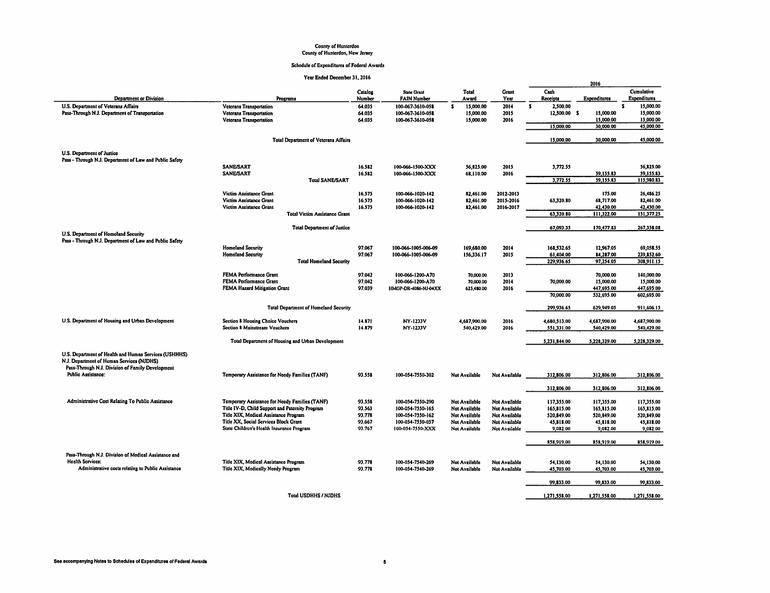# County of Hunterdon<br>County of Hunterdon, New Jersey

#### Schedule of Expenditures of Federal Awards

|                                                                                                    | Year Enged December 31, 2016                      |                   |                                          |                           |                      |                         | 2016                   |                            |
|----------------------------------------------------------------------------------------------------|---------------------------------------------------|-------------------|------------------------------------------|---------------------------|----------------------|-------------------------|------------------------|----------------------------|
| <b>Department or Division</b>                                                                      | Programs                                          | Catalog<br>Number | <b>State Grant</b><br><b>FAIN Number</b> | Total<br>Award            | Grant<br>Year        | Cash<br>Receipts        | Expenditures           | Cumulative<br>Expenditures |
| U.S. Department of Veterans Affairs                                                                | <b>Veterans Transportation</b>                    | 64.035            | 100-067-3610-058                         | $\mathbf{s}$<br>15.000.00 | 2014                 | 2.500.00<br>\$          |                        | $\mathbf{s}$<br>15,000,00  |
| Pass-Through N.J. Department of Transportation                                                     | <b>Veterans Transportation</b>                    | 64.035            | 100-067-3610-058                         | 15,000.00                 | 2015                 | 12,500.00 \$            | 15,000.00              | 15,000.00                  |
|                                                                                                    | <b>Veterans Transportation</b>                    | 64.035            | 100-067-3610-058                         | 15 000.00                 | 2016                 |                         | 15,000.00              | 15,000.00                  |
|                                                                                                    |                                                   |                   |                                          |                           |                      | 15,000.00               | 30,000.00              | 45,000.00                  |
|                                                                                                    | <b>Total Department of Veterans Affairs</b>       |                   |                                          |                           |                      | 15,000.00               | 30,000.00              | 45,000.00                  |
| U.S. Department of Justice                                                                         |                                                   |                   |                                          |                           |                      |                         |                        |                            |
| Pass - Through N.J. Department of Law and Public Safety                                            |                                                   |                   |                                          |                           |                      |                         |                        |                            |
|                                                                                                    | <b>SANE/SART</b><br><b>SANE/SART</b>              | 16.582            | 100-066-1500-XXX                         | 56,825.00                 | 2015                 | 3,772.55                |                        | 56,825.00                  |
|                                                                                                    | <b>Total SANE/SART</b>                            | 16.582            | 100-066-1500-XXX                         | 68,110.00                 | 2016                 | 3,772.55                | 59,155.83<br>59,155.83 | 59,155.83<br>115,980.83    |
|                                                                                                    |                                                   |                   |                                          |                           |                      |                         |                        |                            |
|                                                                                                    | Victim Assistance Grant                           | 16.575            | 100-066-1020-142                         | 82,461.00                 | 2012-2013            |                         | 175.00                 | 26,486.25                  |
|                                                                                                    | Victim Assistance Grant                           | 16.575            | 100-066-1020-142                         | 82.461.00                 | 2015-2016            | 63,320.80               | 68,717.00              | 82,461.00                  |
|                                                                                                    | Victim Assistance Grant                           | 16.575            | 100-066-1020-142                         | 82,461.00                 | 2016-2017            |                         | 42,430.00              | 42,430.00                  |
|                                                                                                    | <b>Total Victim Assistance Grant</b>              |                   |                                          |                           |                      | 63,320.80               | 111,322.00             | 151,377.25                 |
|                                                                                                    | <b>Total Department of Justice</b>                |                   |                                          |                           |                      | 67,093.35               | 170,477.83             | 267,358.08                 |
| U.S. Department of Homeland Security                                                               |                                                   |                   |                                          |                           |                      |                         |                        |                            |
| Pass - Through N.J. Department of Law and Public Safety                                            | <b>Homeland Security</b>                          | 97.067            | 100-066-1005-006-09                      |                           |                      |                         |                        |                            |
|                                                                                                    | <b>Homeland Security</b>                          | 97.067            | 100-066-1005-006-09                      | 169,680.00<br>156,336.17  | 2014<br>2015         | 168,532.65<br>61,404.00 | 12,967.05<br>84.287.00 | 69,058.55<br>239,852.60    |
|                                                                                                    | <b>Total Homeland Security</b>                    |                   |                                          |                           |                      | 229,936.65              | 97,254.05              | 308,911.15                 |
|                                                                                                    |                                                   |                   |                                          |                           |                      |                         |                        |                            |
|                                                                                                    | FEMA Performance Grant                            | 97.042            | 100-066-1200-A70                         | 70,000.00                 | 2013                 |                         | 70,000.00              | 140,000,00                 |
|                                                                                                    | FEMA Performance Grant                            | 97.042            | 100-066-1200-A70                         | 70,000.00                 | 2014                 | 70,000,00               | 15,000,00              | 15,000.00                  |
|                                                                                                    | FEMA Hazard Mitigation Grant                      | 97.039            | HMGP-DR-4086-NJ-04XX                     | 625,480.00                | 2016                 |                         | 447,695.00             | 447,695.00                 |
|                                                                                                    |                                                   |                   |                                          |                           |                      | 70,000.00               | 532,695.00             | 602,695.00                 |
|                                                                                                    | <b>Total Department of Homeland Security</b>      |                   |                                          |                           |                      | 299,936.65              | 629,949.05             | 911,606.15                 |
| U.S. Department of Housing and Urban Development                                                   | Section 8 Housing Choice Vouchers                 | 14.871            | NY-1233V                                 | 4,687,900.00              | 2016                 | 4,680,513.00            | 4,687,900.00           | 4,687,900.00               |
|                                                                                                    | Section 8 Mainstream Vouchers                     | 14.879            | NY-1233V                                 | 540,429.00                | 2016                 | 551,331.00              | 540,429.00             | 540,429.00                 |
|                                                                                                    | Total Department of Housing and Urban Development |                   |                                          |                           |                      | 5,231,844.00            | 5,228,329.00           | 5,228,329.00               |
| U.S. Department of Health and Human Services (USHHHS)<br>N.J. Department of Human Services (NJDHS) |                                                   |                   |                                          |                           |                      |                         |                        |                            |
| Pass-Through N.J. Division of Family Development                                                   |                                                   |                   |                                          |                           |                      |                         |                        |                            |
| Public Assistance:                                                                                 | Temporary Assistance for Needy Families (TANF)    | 93.558            | 100-054-7550-302                         | <b>Not Available</b>      | Not Available        | 312,806.00              | 312,806.00             | 312,806.00                 |
|                                                                                                    |                                                   |                   |                                          |                           |                      | 312,806.00              | 312,806.00             | 312,806.00                 |
| Administrative Cost Relating To Public Assistance                                                  | Temporary Assistance for Needy Families (TANF)    | 93.558            | 100-054-7550-290                         | Not Available             | Not Available        | 117,355.00              | 117,355.00             | 117,355.00                 |
|                                                                                                    | Title IV-D, Child Support and Paternity Program   | 93.563            | 100-054-7550-165                         | Not Available             | Not Available        | 165,815.00              | 165,815.00             | 165,815.00                 |
|                                                                                                    | Title XIX, Medical Assistance Program             | 93.778            | 100-054-7550-162                         | Not Available             | Not Available        | 520,849.00              | 520,849.00             | 520,849.00                 |
|                                                                                                    | Title XX, Social Services Block Grant             | 93.667            | 100-054-7550-057                         | Not Available             | Not Available        | 45,818.00               | 45,818.00              | 45,818.00                  |
|                                                                                                    | State Children's Health Insurance Program         | 93.767            | 100-054-7550-XXX                         | Not Available             | Not Available        | 9,082.00                | 9,032.00               | 9,082.00                   |
|                                                                                                    |                                                   |                   |                                          |                           |                      | 858,919.00              | 858,919.00             | 858,919.00                 |
|                                                                                                    |                                                   |                   |                                          |                           |                      |                         |                        |                            |
| Pass-Through N.J. Division of Medical Assistance and                                               |                                                   |                   |                                          |                           |                      |                         |                        |                            |
| <b>Health Services:</b>                                                                            | Title XIX, Medical Assistance Program             | 93,778            | 100-054-7540-269                         | Not Available             | <b>Not Available</b> | 54.130.00               | 54.130.00              | 54,130.00                  |
| Administrative costs relating to Public Assistance                                                 | Title XIX, Medically Needy Program                | 93.778            | 100-054-7540-269                         | Not Available             | Not Available        | 45,703.00               | 45,703.00              | 45,703.00                  |
|                                                                                                    |                                                   |                   |                                          |                           |                      | 99,833.00               | 99,833.00              | 99,833.00                  |
|                                                                                                    | <b>Total USDHHS / NJDHS</b>                       |                   |                                          |                           |                      | 1.271.558.00            | 1.271.558.00           | 1.271.558.00               |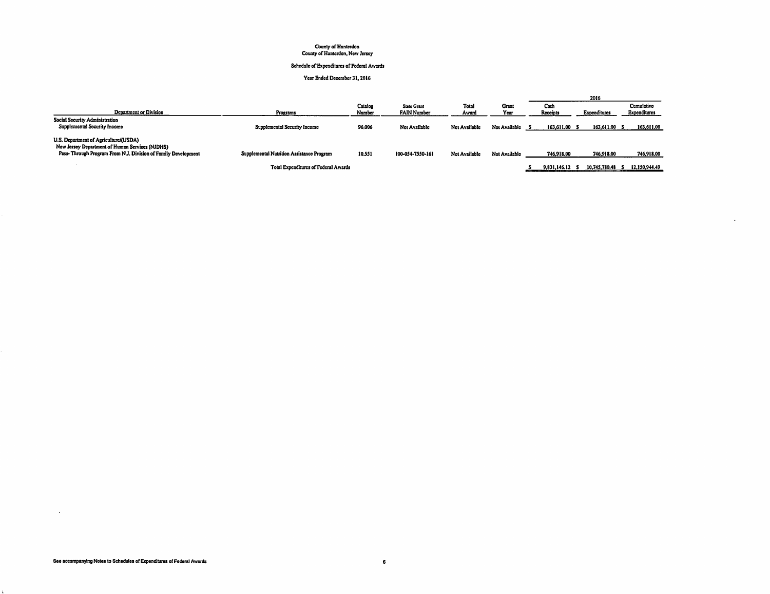# County of Hunterdon<br>County of Hunterdon, New Jersey

#### Schedule of Expenditures of Federal Awards

#### Year Ended December 31, 2016

|                                                                                                                                                           |                                           |                   |                                          |                |               |                      | 2016          |                            |
|-----------------------------------------------------------------------------------------------------------------------------------------------------------|-------------------------------------------|-------------------|------------------------------------------|----------------|---------------|----------------------|---------------|----------------------------|
| Department or Division                                                                                                                                    | Programs                                  | Catalog<br>Number | <b>State Grant</b><br><b>FAIN Number</b> | Total<br>Award | Gran<br>Year  | Cash<br>Receipts     | Expenditures  | Cumulativo<br>Expenditures |
| Social Security Administration<br>Supplemental Security Income                                                                                            | Supplemental Security Income              | 96,006            | Not Available                            | Not Available  | Not Available | 163,611.00 \$<br>- 5 | 163,611.00 \$ | 163,611.00                 |
| U.S. Department of Agriculture/(USDA)<br>New Jersey Department of Human Services (NJDHS)<br>Pass-Through Program From N.J. Division of Family Development | Supplemental Nutrition Assistance Program | 10.551            | 100-054-7550-161                         | Net Available  | Not Available | 746.918.00           | 746,918.00    | 746,918.00                 |
|                                                                                                                                                           | Total Expenditures of Federal Awards      |                   |                                          |                |               | 9.831.146.12         | 10.745.780.48 | 12,150,944.49              |

÷.

 $\sim$ 

 $\mathbf{r}$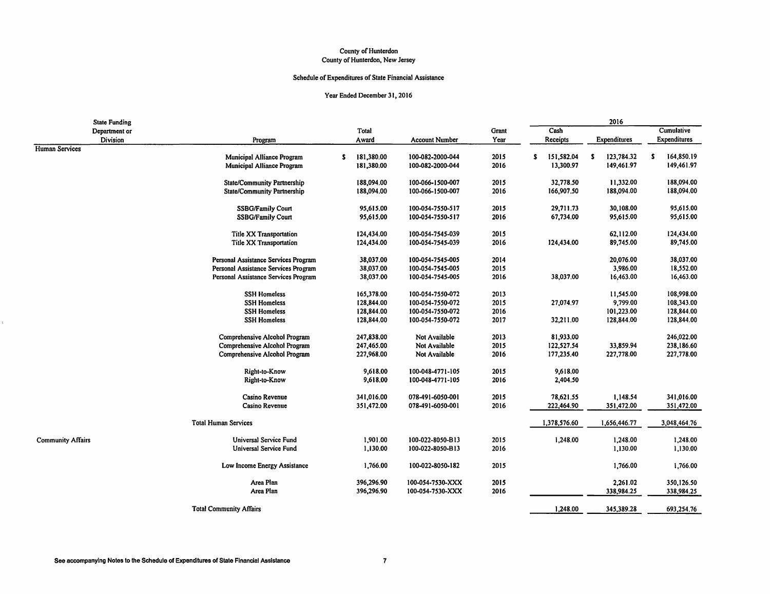#### County of Hunterdon County of Hunterdon, New Jersey

#### Schedule of Expenditures of State Financial Assistance

|                       | <b>State Funding</b> |                                      |                  |                       |       |   |              |   | 2016         |   |              |
|-----------------------|----------------------|--------------------------------------|------------------|-----------------------|-------|---|--------------|---|--------------|---|--------------|
|                       | Department or        |                                      | Total            |                       | Grant |   | Cash         |   |              |   | Cumulative   |
|                       | Division             | Program                              | Award            | <b>Account Number</b> | Year  |   | Receipts     |   | Expenditures |   | Expenditures |
| <b>Human Services</b> |                      |                                      |                  |                       |       |   |              |   |              |   |              |
|                       |                      | Municipal Alliance Program           | \$<br>181,380.00 | 100-082-2000-044      | 2015  | s | 151,582.04   | s | 123.784.32   | s | 164,850.19   |
|                       |                      | Municipal Alliance Program           | 181,380.00       | 100-082-2000-044      | 2016  |   | 13,300.97    |   | 149,461.97   |   | 149,461.97   |
|                       |                      | State/Community Partnership          | 188,094.00       | 100-066-1500-007      | 2015  |   | 32,778.50    |   | 11,332.00    |   | 188,094.00   |
|                       |                      | <b>State/Community Partnership</b>   | 188,094.00       | 100-066-1500-007      | 2016  |   | 166,907.50   |   | 188,094.00   |   | 188,094.00   |
|                       |                      | <b>SSBG/Family Court</b>             | 95,615.00        | 100-054-7550-517      | 2015  |   | 29,711.73    |   | 30,108.00    |   | 95,615.00    |
|                       |                      | <b>SSBG/Family Court</b>             | 95,615.00        | 100-054-7550-517      | 2016  |   | 67,734.00    |   | 95,615.00    |   | 95,615.00    |
|                       |                      | <b>Title XX Transportation</b>       | 124,434.00       | 100-054-7545-039      | 2015  |   |              |   | 62,112.00    |   | 124,434.00   |
|                       |                      | Title XX Transportation              | 124,434.00       | 100-054-7545-039      | 2016  |   | 124,434.00   |   | 89.745.00    |   | 89,745.00    |
|                       |                      | Personal Assistance Services Program | 38,037.00        | 100-054-7545-005      | 2014  |   |              |   | 20,076.00    |   | 38,037.00    |
|                       |                      | Personal Assistance Services Program | 38,037.00        | 100-054-7545-005      | 2015  |   |              |   | 3,986.00     |   | 18,552.00    |
|                       |                      | Personal Assistance Services Program | 38,037.00        | 100-054-7545-005      | 2016  |   | 38,037.00    |   | 16,463.00    |   | 16,463.00    |
|                       |                      | <b>SSH Homeless</b>                  | 165,378.00       | 100-054-7550-072      | 2013  |   |              |   | 11,545.00    |   | 108,998.00   |
|                       |                      | <b>SSH Homeless</b>                  | 128,844.00       | 100-054-7550-072      | 2015  |   | 27,074.97    |   | 9,799.00     |   | 108,343.00   |
|                       |                      | <b>SSH Homeless</b>                  | 128,844.00       | 100-054-7550-072      | 2016  |   |              |   | 101,223.00   |   | 128,844.00   |
|                       |                      | <b>SSH Homeless</b>                  | 128,844.00       | 100-054-7550-072      | 2017  |   | 32,211.00    |   | 128,844.00   |   | 128,844.00   |
|                       |                      | Comprehensive Alcohol Program        | 247,838,00       | Not Available         | 2013  |   | 81,933,00    |   |              |   | 246,022.00   |
|                       |                      | Comprehensive Alcohol Program        | 247,465.00       | Not Available         | 2015  |   | 122,527.54   |   | 33,859.94    |   | 238,186.60   |
|                       |                      | Comprehensive Alcohol Program        | 227,968.00       | Not Available         | 2016  |   | 177,235.40   |   | 227,778.00   |   | 227,778.00   |
|                       |                      | Right-to-Know                        | 9,618.00         | 100-048-4771-105      | 2015  |   | 9,618.00     |   |              |   |              |
|                       |                      | Right-to-Know                        | 9,618.00         | 100-048-4771-105      | 2016  |   | 2,404.50     |   |              |   |              |
|                       |                      | Casino Revenue                       | 341,016.00       | 078-491-6050-001      | 2015  |   | 78,621.55    |   | 1,148.54     |   | 341,016.00   |
|                       |                      | Casino Revenue                       | 351,472.00       | 078-491-6050-001      | 2016  |   | 222,464.90   |   | 351,472.00   |   | 351,472.00   |
|                       |                      | <b>Total Human Services</b>          |                  |                       |       |   | 1,378,576.60 |   | 1,656,446.77 |   | 3,048,464.76 |
| Community Affairs     |                      | <b>Universal Service Fund</b>        | 1,901.00         | 100-022-8050-B13      | 2015  |   | 1,248.00     |   | 1,248.00     |   | 1,248.00     |
|                       |                      | Universal Service Fund               | 1,130.00         | 100-022-8050-B13      | 2016  |   |              |   | 1,130.00     |   | 1,130.00     |
|                       |                      | Low Income Energy Assistance         | 1,766.00         | 100-022-8050-182      | 2015  |   |              |   | 1,766.00     |   | 1,766.00     |
|                       |                      | Area Plan                            | 396,296.90       | 100-054-7530-XXX      | 2015  |   |              |   | 2,261.02     |   | 350,126.50   |
|                       |                      | Area Plan                            | 396,296.90       | 100-054-7530-XXX      | 2016  |   |              |   | 338,984.25   |   | 338,984.25   |
|                       |                      | <b>Total Community Affairs</b>       |                  |                       |       |   | 1,248.00     |   | 345,389.28   |   | 693,254.76   |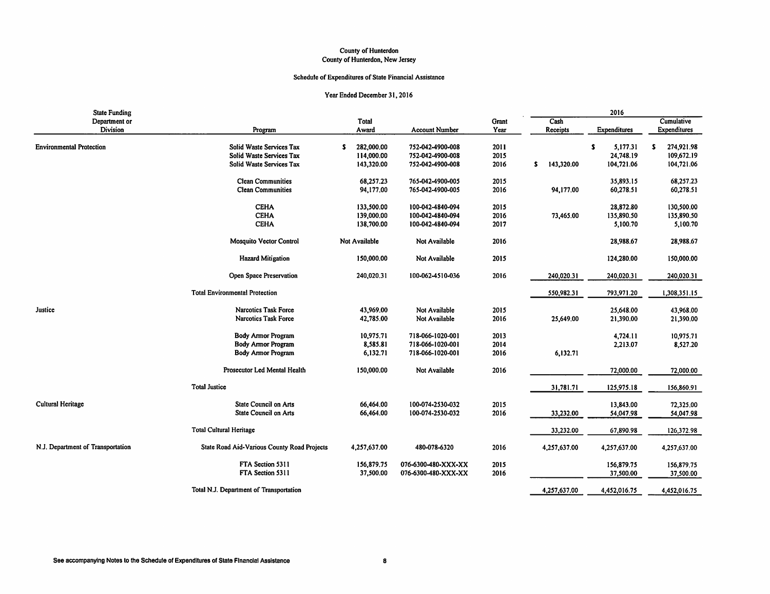#### County of Hunterdon County of Hunterdon, New Jersey

#### Schedule of Expenditures of State Financial Assistance

| <b>State Funding</b>              |                                             |                  |                       |       |                  | 2016          |                     |
|-----------------------------------|---------------------------------------------|------------------|-----------------------|-------|------------------|---------------|---------------------|
| Department or                     |                                             | Total            |                       | Grant | Cash             |               | Cumulative          |
| <b>Division</b>                   | Program                                     | Award            | <b>Account Number</b> | Year  | Receipts         | Expenditures  | <b>Expenditures</b> |
| <b>Environmental Protection</b>   | Solid Waste Services Tax                    | 282,000.00<br>s. | 752-042-4900-008      | 2011  |                  | s<br>5,177.31 | 274,921.98<br>s     |
|                                   | Solid Waste Services Tax                    | 114,000.00       | 752-042-4900-008      | 2015  |                  | 24,748.19     | 109,672.19          |
|                                   | Solid Waste Services Tax                    | 143,320.00       | 752-042-4900-008      | 2016  | \$<br>143,320.00 | 104,721.06    | 104,721.06          |
|                                   |                                             |                  |                       |       |                  |               |                     |
|                                   | <b>Clean Communities</b>                    | 68,257.23        | 765-042-4900-005      | 2015  |                  | 35,893.15     | 68,257.23           |
|                                   | <b>Clean Communities</b>                    | 94,177.00        | 765-042-4900-005      | 2016  | 94,177.00        | 60,278.51     | 60,278.51           |
|                                   | <b>CEHA</b>                                 | 133,500.00       | 100-042-4840-094      | 2015  |                  | 28,872.80     | 130,500.00          |
|                                   | <b>CEHA</b>                                 | 139,000.00       | 100-042-4840-094      | 2016  | 73,465.00        | 135,890.50    | 135,890.50          |
|                                   | <b>CEHA</b>                                 | 138,700.00       | 100-042-4840-094      | 2017  |                  | 5,100.70      | 5,100.70            |
|                                   | Mosquito Vector Control                     | Not Available    | Not Available         | 2016  |                  | 28,988.67     | 28,988.67           |
|                                   | <b>Hazard Mitigation</b>                    | 150,000.00       | Not Available         | 2015  |                  | 124,280.00    | 150,000.00          |
|                                   | Open Space Preservation                     | 240,020.31       | 100-062-4510-036      | 2016  | 240,020.31       | 240,020.31    | 240,020.31          |
|                                   | <b>Total Environmental Protection</b>       |                  |                       |       | 550,982.31       | 793,971.20    | 1,308,351.15        |
| Justice                           | <b>Narcotics Task Force</b>                 | 43,969.00        | Not Available         | 2015  |                  | 25,648.00     | 43,968.00           |
|                                   | <b>Narcotics Task Force</b>                 | 42,785.00        | Not Available         | 2016  | 25,649.00        | 21,390.00     | 21,390.00           |
|                                   |                                             |                  |                       |       |                  |               |                     |
|                                   | <b>Body Armor Program</b>                   | 10,975.71        | 718-066-1020-001      | 2013  |                  | 4,724.11      | 10,975.71           |
|                                   | <b>Body Armor Program</b>                   | 8,585.81         | 718-066-1020-001      | 2014  |                  | 2,213.07      | 8,527.20            |
|                                   | <b>Body Armor Program</b>                   | 6,132.71         | 718-066-1020-001      | 2016  | 6,132.71         |               |                     |
|                                   | Prosecutor Led Mental Health                | 150,000.00       | Not Available         | 2016  |                  | 72,000.00     | 72,000.00           |
|                                   | <b>Total Justice</b>                        |                  |                       |       | 31,781.71        | 125,975.18    | 156,860.91          |
| <b>Cultural Heritage</b>          | <b>State Council on Arts</b>                | 66,464.00        | 100-074-2530-032      | 2015  |                  | 13,843.00     | 72,325.00           |
|                                   | <b>State Council on Arts</b>                | 66,464.00        | 100-074-2530-032      | 2016  |                  |               |                     |
|                                   |                                             |                  |                       |       | 33,232.00        | 54,047.98     | 54,047.98           |
|                                   | <b>Total Cultural Heritage</b>              |                  |                       |       | 33,232.00        | 67,890.98     | 126,372.98          |
| N.J. Department of Transportation | State Road Aid-Various County Road Projects | 4,257,637.00     | 480-078-6320          | 2016  | 4,257,637.00     | 4,257,637.00  | 4,257,637.00        |
|                                   | FTA Section 5311                            | 156,879.75       | 076-6300-480-XXX-XX   | 2015  |                  | 156,879.75    | 156,879.75          |
|                                   | FTA Section 5311                            | 37,500.00        | 076-6300-480-XXX-XX   | 2016  |                  | 37,500.00     | 37,500.00           |
|                                   | Total N.J. Department of Transportation     |                  |                       |       | 4,257,637.00     | 4,452,016.75  | 4,452,016.75        |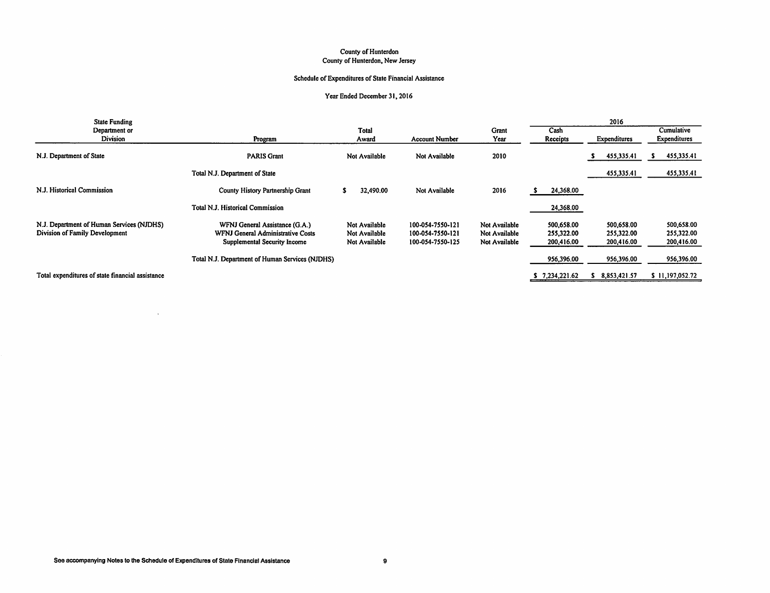#### County of Hunterdon County of Hunterdon, New Jersey

#### Schedule of Expenditures of State Financial Assistance

#### Year Ended December 31, 2016

| <b>State Funding</b>                             |                                                                   |                                |                                      |                                |                          | 2016                     |                          |
|--------------------------------------------------|-------------------------------------------------------------------|--------------------------------|--------------------------------------|--------------------------------|--------------------------|--------------------------|--------------------------|
| Department or                                    |                                                                   | Total                          |                                      | Grant                          | Cash                     |                          | Cumulative               |
| <b>Division</b>                                  | Program                                                           | Award                          | <b>Account Number</b>                | Year                           | Receipts                 | Expenditures             | Expenditures             |
| N.J. Department of State                         | <b>PARIS Grant</b>                                                | Not Available                  | Not Available                        | 2010                           |                          | 455,335.41               | 455,335.41               |
|                                                  | Total N.J. Department of State                                    |                                |                                      |                                |                          | 455,335.41               | 455,335.41               |
| N.J. Historical Commission                       | County History Partnership Grant                                  | 32,490.00                      | Not Available                        | 2016                           | 24,368.00                |                          |                          |
|                                                  | Total N.J. Historical Commission                                  |                                |                                      |                                | 24,368.00                |                          |                          |
| N.J. Department of Human Services (NJDHS)        | WFNJ General Assistance (G.A.)                                    | Not Available                  | 100-054-7550-121                     | Not Available                  | 500.658.00               | 500,658.00               | 500,658.00               |
| Division of Family Development                   | WFNJ General Administrative Costs<br>Supplemental Security Income | Not Available<br>Not Available | 100-054-7550-121<br>100-054-7550-125 | Not Available<br>Not Available | 255,322.00<br>200,416.00 | 255,322.00<br>200,416.00 | 255,322.00<br>200,416.00 |
|                                                  | Total N.J. Department of Human Services (NJDHS)                   |                                |                                      |                                | 956,396.00               | 956,396.00               | 956,396.00               |
| Total expenditures of state financial assistance |                                                                   |                                |                                      |                                | \$7,234,221.62           | 8,853,421.57             | \$11,197,052.72          |

 $\sim$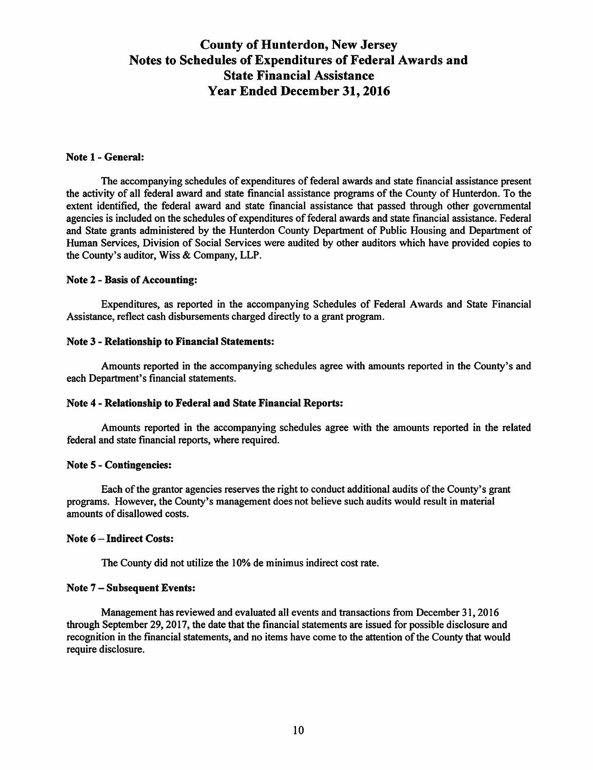# **County of Hunterdon, New Jersey Notes to Schedules of Expenditures of Federal Awards and State Financial Assistance Year Ended December 31, 2016**

#### **Note 1- General:**

The accompanying schedules of expenditures of federal awards and state financial assistance present the activity of all federal award and state financial assistance programs of the County of Hunterdon. To the extent identified, the federal award and state financial assistance that passed through other governmental agencies is included on the schedules of expenditures of federal awards and state financial assistance. Federal and State grants administered by the Hunterdon County Department of Public Housing and Department of Human Services, Division of Social Services were audited by other auditors which have provided copies to the County's auditor, Wiss & Company, LLP.

#### **Note 2** - **Basis of Accounting:**

Expenditures, as reported in the accompanying Schedules of Federal Awards and State Financial Assistance, reflect cash disbursements charged directly to a grant program.

#### **Note 3** - **Relationship to Financial Statements:**

Amounts reported in the accompanying schedules agree with amounts reported in the County's and each Department's financial statements.

#### **Note 4** - **Relationship to Federal and State Financial Reports:**

Amounts reported in the accompanying schedules agree with the amounts reported in the related federal and state financial reports, where required.

#### **Note 5- Contingencies:**

Each of the grantor agencies reserves the right to conduct additional audits of the County's grant programs. However, the County's management does not believe such audits would result in material amounts of disallowed costs.

#### **Note 6** - **Indirect Costs:**

The County did not utilize the 10% de minimus indirect cost rate.

#### **Note** 7 - **Subsequent Events:**

Management has reviewed and evaluated all events and transactions from December 31, 2016 through September 29, 2017, the date that the financial statements are issued for possible disclosure and recognition in the financial statements, and no items have come to the attention of the County that would require disclosure.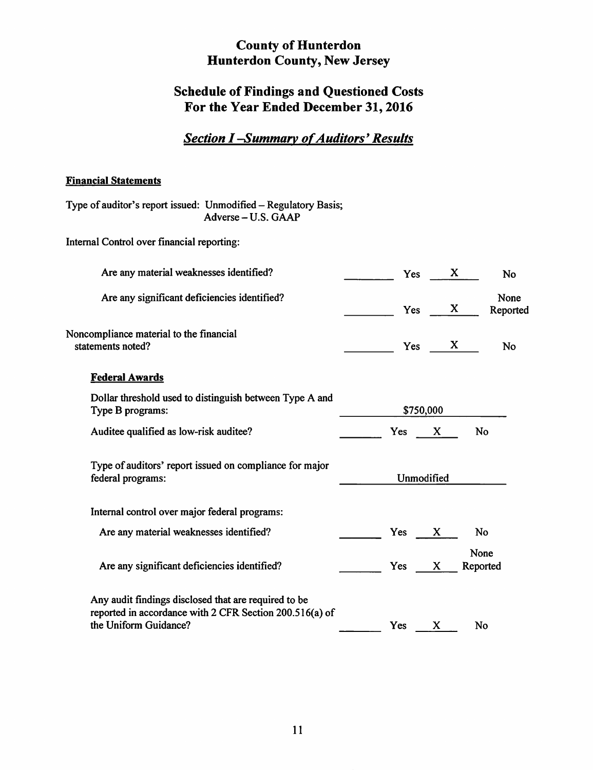# **Schedule of Findings and Questioned Costs For the Year Ended December 31, 2016**

# **Section I-Summary of Auditors' Results**

#### **Financial Statements**

Type of auditor's report issued: Unmodified - Regulatory Basis; Adverse-U.S. GAAP

Internal Control over financial reporting:

| Are any material weaknesses identified?                                                                                                  |     | Yes                 | X  | No               |
|------------------------------------------------------------------------------------------------------------------------------------------|-----|---------------------|----|------------------|
| Are any significant deficiencies identified?                                                                                             |     | Yes                 | X. | None<br>Reported |
| Noncompliance material to the financial<br>statements noted?                                                                             |     | Yes                 | X. | No               |
| <b>Federal Awards</b>                                                                                                                    |     |                     |    |                  |
| Dollar threshold used to distinguish between Type A and<br>Type B programs:                                                              |     | \$750,000           |    |                  |
| Auditee qualified as low-risk auditee?                                                                                                   | Yes | $\mathbf{X}$        |    | <b>No</b>        |
| Type of auditors' report issued on compliance for major<br>federal programs:                                                             |     | Unmodified          |    |                  |
| Internal control over major federal programs:                                                                                            |     |                     |    |                  |
| Are any material weaknesses identified?                                                                                                  | Yes | X.                  |    | No               |
| Are any significant deficiencies identified?                                                                                             |     | Yes<br>$\mathbf{X}$ |    | None<br>Reported |
| Any audit findings disclosed that are required to be<br>reported in accordance with 2 CFR Section 200.516(a) of<br>the Uniform Guidance? | Yes | X                   |    | No               |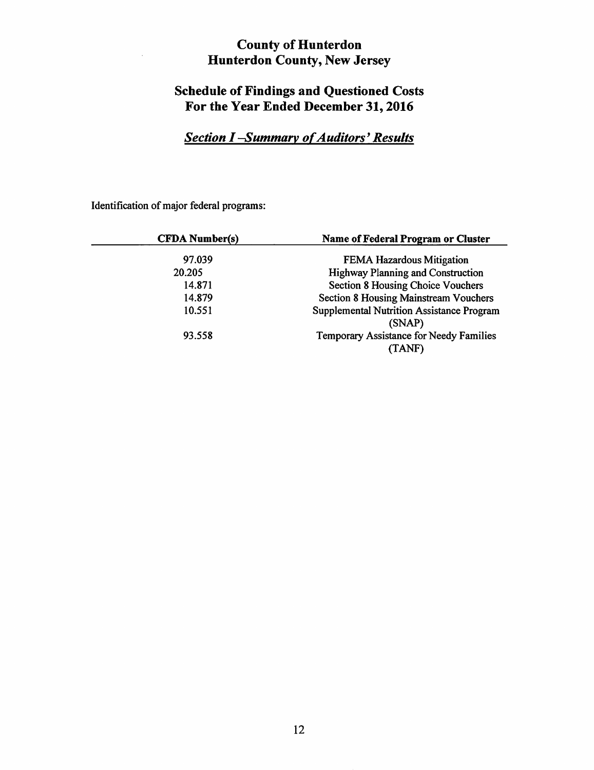# **Schedule of Findings and Questioned Costs For the Year Ended December 31, 2016**

# **Section I-Summary of Auditors' Results**

Identification of major federal programs:

| <b>CFDA</b> Number(s) | <b>Name of Federal Program or Cluster</b>                  |
|-----------------------|------------------------------------------------------------|
| 97.039                | <b>FEMA Hazardous Mitigation</b>                           |
| 20.205                | <b>Highway Planning and Construction</b>                   |
| 14.871                | Section 8 Housing Choice Vouchers                          |
| 14.879                | <b>Section 8 Housing Mainstream Vouchers</b>               |
| 10.551                | <b>Supplemental Nutrition Assistance Program</b><br>(SNAP) |
| 93.558                | Temporary Assistance for Needy Families<br>TANF)           |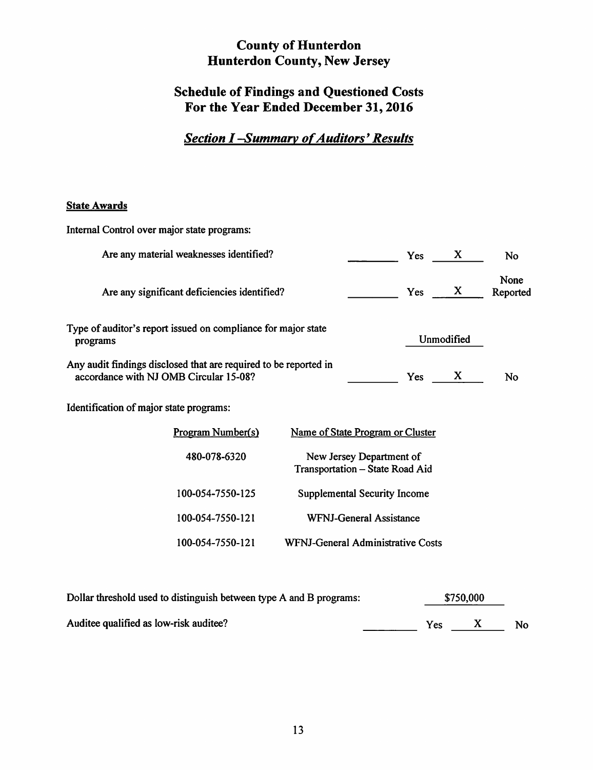# **Schedule of Findings and Questioned Costs For the Year Ended December 31, 2016**

# **Section I-Summary of Auditors' Results**

## **State Awards**

| Internal Control over major state programs:                                                                |                                   |                                                             |     |            |                  |
|------------------------------------------------------------------------------------------------------------|-----------------------------------|-------------------------------------------------------------|-----|------------|------------------|
| Are any material weaknesses identified?                                                                    |                                   |                                                             | Yes | X          | No               |
| Are any significant deficiencies identified?                                                               |                                   |                                                             | Yes | X          | None<br>Reported |
| Type of auditor's report issued on compliance for major state<br>programs                                  |                                   |                                                             |     | Unmodified |                  |
| Any audit findings disclosed that are required to be reported in<br>accordance with NJ OMB Circular 15-08? |                                   |                                                             | Yes | X          | No               |
| Identification of major state programs:                                                                    |                                   |                                                             |     |            |                  |
| Program Number(s)                                                                                          |                                   | Name of State Program or Cluster                            |     |            |                  |
| 480-078-6320                                                                                               |                                   | New Jersey Department of<br>Transportation - State Road Aid |     |            |                  |
| 100-054-7550-125                                                                                           |                                   | <b>Supplemental Security Income</b>                         |     |            |                  |
| 100-054-7550-121                                                                                           |                                   | <b>WFNJ-General Assistance</b>                              |     |            |                  |
| 100-054-7550-121                                                                                           | WFNJ-General Administrative Costs |                                                             |     |            |                  |
|                                                                                                            |                                   |                                                             |     |            |                  |

| Dollar threshold used to distinguish between type A and B programs: |  |     | \$750,000 |           |  |
|---------------------------------------------------------------------|--|-----|-----------|-----------|--|
| Auditee qualified as low-risk auditee?                              |  | Yes |           | <b>No</b> |  |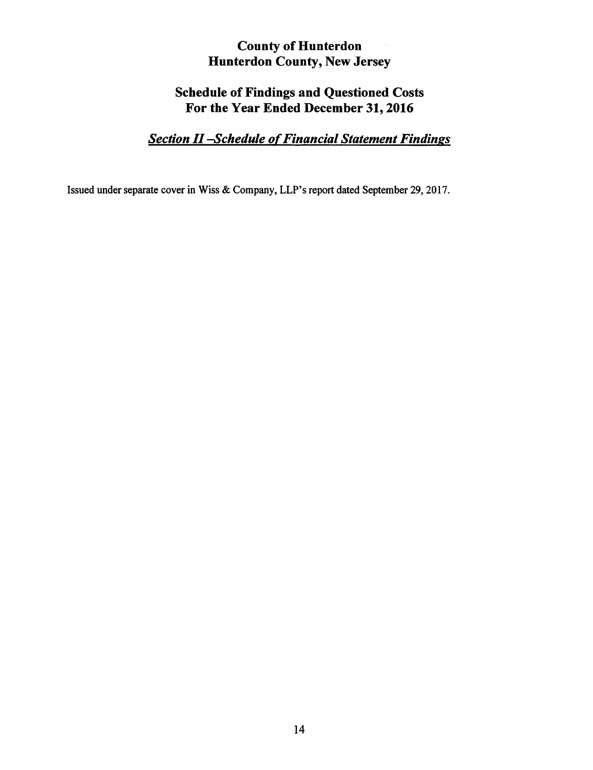# **Schedule of Findings and Questioned Costs For the Year Ended December 31, 2016**

# *Section* II *-Schedule of Financial Statement Findings*

Issued under separate cover in Wiss & Company, LLP's report dated September 29, 2017.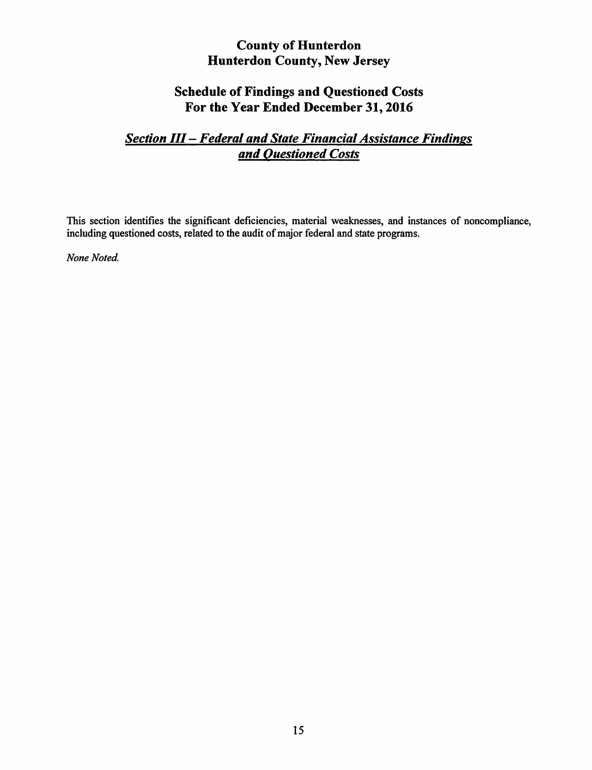# **Schedule of Findings and Questioned Costs For the Year Ended December 31, 2016**

# *Section* III - *Federal and State Financial Assistance Findings and Questioned Costs*

This section identifies the significant deficiencies, material weaknesses, and instances of noncompliance, including questioned costs, related to the audit of major federal and state programs.

**None Noted.**